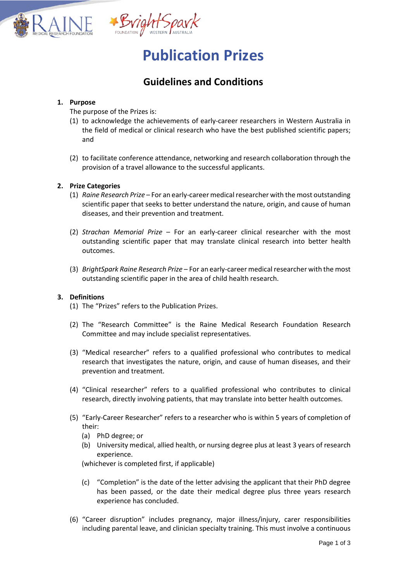

# **Publication Prizes**

# **Guidelines and Conditions**

## **1. Purpose**

The purpose of the Prizes is:

- (1) to acknowledge the achievements of early-career researchers in Western Australia in the field of medical or clinical research who have the best published scientific papers; and
- (2) to facilitate conference attendance, networking and research collaboration through the provision of a travel allowance to the successful applicants.

## **2. Prize Categories**

- (1) *Raine Research Prize* For an early-career medical researcher with the most outstanding scientific paper that seeks to better understand the nature, origin, and cause of human diseases, and their prevention and treatment.
- (2) *Strachan Memorial Prize* For an early-career clinical researcher with the most outstanding scientific paper that may translate clinical research into better health outcomes.
- (3) *BrightSpark Raine Research Prize* For an early-career medical researcher with the most outstanding scientific paper in the area of child health research.

#### **3. Definitions**

- (1) The "Prizes" refers to the Publication Prizes.
- (2) The "Research Committee" is the Raine Medical Research Foundation Research Committee and may include specialist representatives.
- (3) "Medical researcher" refers to a qualified professional who contributes to medical research that investigates the nature, origin, and cause of human diseases, and their prevention and treatment.
- (4) "Clinical researcher" refers to a qualified professional who contributes to clinical research, directly involving patients, that may translate into better health outcomes.
- (5) "Early-Career Researcher" refers to a researcher who is within 5 years of completion of their:
	- (a) PhD degree; or
	- (b) University medical, allied health, or nursing degree plus at least 3 years of research experience.

(whichever is completed first, if applicable)

- (c) "Completion" is the date of the letter advising the applicant that their PhD degree has been passed, or the date their medical degree plus three years research experience has concluded.
- (6) "Career disruption" includes pregnancy, major illness/injury, carer responsibilities including parental leave, and clinician specialty training. This must involve a continuous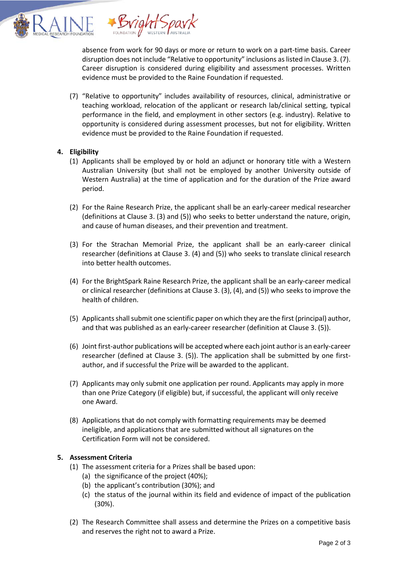

absence from work for 90 days or more or return to work on a part-time basis. Career disruption does not include "Relative to opportunity" inclusions as listed in Clause 3. (7). Career disruption is considered during eligibility and assessment processes. Written evidence must be provided to the Raine Foundation if requested.

(7) "Relative to opportunity" includes availability of resources, clinical, administrative or teaching workload, relocation of the applicant or research lab/clinical setting, typical performance in the field, and employment in other sectors (e.g. industry). Relative to opportunity is considered during assessment processes, but not for eligibility. Written evidence must be provided to the Raine Foundation if requested.

## **4. Eligibility**

- (1) Applicants shall be employed by or hold an adjunct or honorary title with a Western Australian University (but shall not be employed by another University outside of Western Australia) at the time of application and for the duration of the Prize award period.
- (2) For the Raine Research Prize, the applicant shall be an early-career medical researcher (definitions at Clause 3. (3) and (5)) who seeks to better understand the nature, origin, and cause of human diseases, and their prevention and treatment.
- (3) For the Strachan Memorial Prize, the applicant shall be an early-career clinical researcher (definitions at Clause 3. (4) and (5)) who seeks to translate clinical research into better health outcomes.
- (4) For the BrightSpark Raine Research Prize, the applicant shall be an early-career medical or clinical researcher (definitions at Clause 3. (3), (4), and (5)) who seeks to improve the health of children.
- (5) Applicants shall submit one scientific paper on which they are the first (principal) author, and that was published as an early-career researcher (definition at Clause 3. (5)).
- (6) Joint first-author publications will be accepted where each joint authoris an early-career researcher (defined at Clause 3. (5)). The application shall be submitted by one firstauthor, and if successful the Prize will be awarded to the applicant.
- (7) Applicants may only submit one application per round. Applicants may apply in more than one Prize Category (if eligible) but, if successful, the applicant will only receive one Award.
- (8) Applications that do not comply with formatting requirements may be deemed ineligible, and applications that are submitted without all signatures on the Certification Form will not be considered.

#### **5. Assessment Criteria**

- (1) The assessment criteria for a Prizes shall be based upon:
	- (a) the significance of the project (40%);
	- (b) the applicant's contribution (30%); and
	- (c) the status of the journal within its field and evidence of impact of the publication (30%).
- (2) The Research Committee shall assess and determine the Prizes on a competitive basis and reserves the right not to award a Prize.